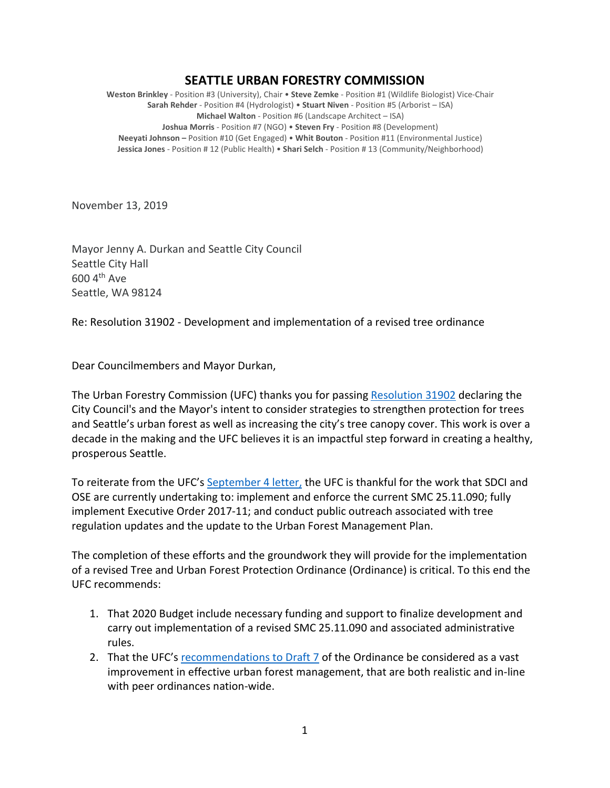## **SEATTLE URBAN FORESTRY COMMISSION**

**Weston Brinkley** - Position #3 (University), Chair • **Steve Zemke** - Position #1 (Wildlife Biologist) Vice-Chair **Sarah Rehder** - Position #4 (Hydrologist) • **Stuart Niven** - Position #5 (Arborist – ISA) **Michael Walton** - Position #6 (Landscape Architect – ISA) **Joshua Morris** - Position #7 (NGO) • **Steven Fry** - Position #8 (Development) **Neeyati Johnson –** Position #10 (Get Engaged) • **Whit Bouton** - Position #11 (Environmental Justice) **Jessica Jones** - Position # 12 (Public Health) • **Shari Selch** - Position # 13 (Community/Neighborhood)

November 13, 2019

Mayor Jenny A. Durkan and Seattle City Council Seattle City Hall 600 4th Ave Seattle, WA 98124

Re: Resolution 31902 - Development and implementation of a revised tree ordinance

Dear Councilmembers and Mayor Durkan,

The Urban Forestry Commission (UFC) thanks you for passing [Resolution 31902](http://seattle.legistar.com/ViewReport.ashx?M=R&N=Text&GID=393&ID=3667453&GUID=8D207CD2-96FC-4B02-94AB-7832F169796D&Title=Legislation+Text) declaring the City Council's and the Mayor's intent to consider strategies to strengthen protection for trees and Seattle's urban forest as well as increasing the city's tree canopy cover. This work is over a decade in the making and the UFC believes it is an impactful step forward in creating a healthy, prosperous Seattle.

To reiterate from the UFC's [September 4 letter,](http://www.seattle.gov/Documents/Departments/UrbanForestryCommission/FinalIssuedDocuments/Recommendations/ADOPTEDSDCItreeRegsUpdate090419.pdf) the UFC is thankful for the work that SDCI and OSE are currently undertaking to: implement and enforce the current SMC 25.11.090; fully implement Executive Order 2017-11; and conduct public outreach associated with tree regulation updates and the update to the Urban Forest Management Plan.

The completion of these efforts and the groundwork they will provide for the implementation of a revised Tree and Urban Forest Protection Ordinance (Ordinance) is critical. To this end the UFC recommends:

- 1. That 2020 Budget include necessary funding and support to finalize development and carry out implementation of a revised SMC 25.11.090 and associated administrative rules.
- 2. That the UFC'[s recommendations](http://www.seattle.gov/Documents/Departments/UrbanForestryCommission/FinalIssuedDocuments/Recommendations/ADOPTEDSDCItreeRegsUpdate090419.pdf) to Draft 7 of the Ordinance be considered as a vast improvement in effective urban forest management, that are both realistic and in-line with peer ordinances nation-wide.